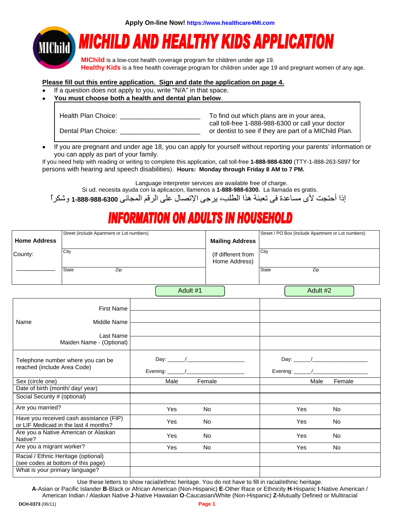**Apply On-line Now! https://www.healthcare4MI.com** 



# **MICHILD AND HEALTHY KIDS APPLICATION**

**MIChild** is a low-cost health coverage program for children under age 19. **Healthy Kids** is a free health coverage program for children under age 19 and pregnant women of any age.

#### **Please fill out this entire application. Sign and date the application on page 4.**

- If a question does not apply to you, write "N/A" in that space.
- • **You must choose both a health and dental plan below**.

| Health Plan Choice: | To find out which plans are in your area,             |
|---------------------|-------------------------------------------------------|
|                     | call toll-free 1-888-988-6300 or call your doctor     |
| Dental Plan Choice: | or dentist to see if they are part of a MIChild Plan. |

• If you are pregnant and under age 18, you can apply for yourself without reporting your parents' information or you can apply as part of your family.

If you need help with reading or writing to complete this application, call toll-free **1-888-988-6300** (TTY-1-888-263-5897 for persons with hearing and speech disabilities). **Hours: Monday through Friday 8 AM to 7 PM.** 

Language interpreter services are available free of charge.

Si ud. necesita ayuda con la aplicacion, llamenos a **1-888-988-6300.** La llamada es gratis.

إذا أحتجت لأى مساعدة فى تعبئة هذا الطلب، يرجى الإتصال على الرقم المجانى **1-888-988-6300** وشكراٌ

## **INFORMATION ON ADULTS IN HOUSEHOLD**

| <b>Home Address</b>                                              | Street (include Apartment or Lot numbers)                                        | <b>Mailing Address</b>              | Street / PO Box (include Apartment or Lot numbers) |  |       |          |           |  |
|------------------------------------------------------------------|----------------------------------------------------------------------------------|-------------------------------------|----------------------------------------------------|--|-------|----------|-----------|--|
| County:                                                          | City                                                                             | (If different from<br>Home Address) | City                                               |  |       |          |           |  |
|                                                                  | Zip<br>State                                                                     |                                     |                                                    |  | State | Zip      |           |  |
|                                                                  |                                                                                  | Adult #1                            |                                                    |  |       | Adult #2 |           |  |
|                                                                  | <b>First Name</b>                                                                |                                     |                                                    |  |       |          |           |  |
| Name                                                             | Middle Name                                                                      |                                     |                                                    |  |       |          |           |  |
|                                                                  | Last Name<br>Maiden Name - (Optional)                                            |                                     |                                                    |  |       |          |           |  |
| Telephone number where you can be<br>reached (include Area Code) |                                                                                  |                                     |                                                    |  |       |          |           |  |
| Sex (circle one)                                                 |                                                                                  | Male                                | Female                                             |  |       | Male     | Female    |  |
| Date of birth (month/ day/ year)                                 |                                                                                  |                                     |                                                    |  |       |          |           |  |
| Social Security # (optional)                                     |                                                                                  |                                     |                                                    |  |       |          |           |  |
| Are you married?                                                 |                                                                                  | Yes                                 | <b>No</b>                                          |  |       | Yes      | <b>No</b> |  |
|                                                                  | Have you received cash assistance (FIP)<br>or LIF Medicaid in the last 4 months? | Yes                                 | <b>No</b>                                          |  |       | Yes      | No        |  |
| Native?                                                          | Are you a Native American or Alaskan                                             | Yes                                 | <b>No</b>                                          |  |       | Yes      | No        |  |
| Are you a migrant worker?                                        |                                                                                  | Yes                                 | <b>No</b>                                          |  |       | Yes      | <b>No</b> |  |
| Racial / Ethnic Heritage (optional)                              | (see codes at bottom of this page)                                               |                                     |                                                    |  |       |          |           |  |
| What is your primary language?                                   |                                                                                  |                                     |                                                    |  |       |          |           |  |

Use these letters to show racial/ethnic heritage. You do not have to fill in racial/ethnic heritage.

**A**-Asian or Pacific Islander **B**-Black or African American (Non-Hispanic) **E**-Other Race or Ethnicity **H**-Hispanic **I**-Native American / American Indian / Alaskan Native **J**-Native Hawaiian **O**-Caucasian/White (Non-Hispanic) **Z-**Mutually Defined or Multiracial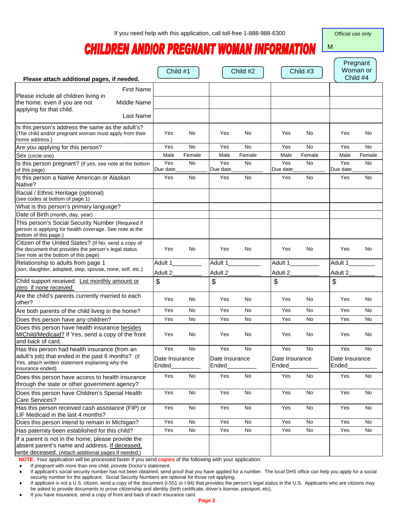Official use only

M

## **CHILDREN ANDIOR PREGNANT WOMAN INFORMATION**

| Please attach additional pages, if needed.                                                                                                                   |                         | Child #1  |                         | Child #2  |                         | Child #3  |                         | Pregnant<br>Woman or<br>Child #4 |
|--------------------------------------------------------------------------------------------------------------------------------------------------------------|-------------------------|-----------|-------------------------|-----------|-------------------------|-----------|-------------------------|----------------------------------|
| <b>First Name</b>                                                                                                                                            |                         |           |                         |           |                         |           |                         |                                  |
| Please include all children living in<br>Middle Name                                                                                                         |                         |           |                         |           |                         |           |                         |                                  |
| the home, even if you are not<br>applying for that child.                                                                                                    |                         |           |                         |           |                         |           |                         |                                  |
| Last Name                                                                                                                                                    |                         |           |                         |           |                         |           |                         |                                  |
| Is this person's address the same as the adult's?<br>(The child and/or pregnant woman must apply from their<br>home address.)                                | Yes                     | No        | Yes                     | No.       | Yes                     | No        | Yes                     | No                               |
| Are you applying for this person?                                                                                                                            | Yes                     | No        | Yes                     | <b>No</b> | Yes                     | <b>No</b> | Yes                     | No                               |
| Sex (circle one)                                                                                                                                             | Male                    | Female    | Male                    | Female    | Male                    | Female    | Male                    | Female                           |
| Is this person pregnant? (If yes, see note at the bottom<br>of this page)                                                                                    | Yes<br>Due date         | No        | Yes<br>Due date         | <b>No</b> | Yes<br>Due date         | No        | Yes<br>Due date         | No                               |
| Is this person a Native American or Alaskan<br>Native?                                                                                                       | Yes                     | <b>No</b> | Yes                     | <b>No</b> | Yes                     | <b>No</b> | Yes                     | <b>No</b>                        |
| Racial / Ethnic Heritage (optional)<br>(see codes at bottom of page 1)                                                                                       |                         |           |                         |           |                         |           |                         |                                  |
| What is this person's primary language?                                                                                                                      |                         |           |                         |           |                         |           |                         |                                  |
| Date of Birth (month, day, year)                                                                                                                             |                         |           |                         |           |                         |           |                         |                                  |
| This person's Social Security Number (Required if<br>person is applying for health coverage. See note at the<br>bottom of this page.)                        |                         |           |                         |           |                         |           |                         |                                  |
| Citizen of the United States? (If No, send a copy of<br>the document that provides the person's legal status.<br>See note at the bottom of this page)        | Yes                     | No        | Yes                     | No.       | Yes                     | No        | Yes                     | No                               |
| Relationship to adults from page 1                                                                                                                           | Adult 1                 |           | Adult 1                 |           | Adult 1                 |           | Adult 1                 |                                  |
| (son, daughter, adopted, step, spouse, none, self, etc.)                                                                                                     | Adult 2                 |           | Adult 2                 |           | Adult 2                 |           | Adult 2                 |                                  |
| Child support received: List monthly amount or<br>zero if none received.                                                                                     | \$                      |           | \$                      |           | \$                      |           | \$                      |                                  |
| Are the child's parents currently married to each<br>other?                                                                                                  | Yes                     | No        | Yes                     | No        | Yes                     | No        | Yes                     | No                               |
| Are both parents of the child living in the home?                                                                                                            | Yes                     | No.       | Yes                     | <b>No</b> | Yes                     | <b>No</b> | Yes                     | No                               |
| Does this person have any children?                                                                                                                          | Yes                     | No        | Yes                     | No        | Yes                     | <b>No</b> | Yes                     | No                               |
| Does this person have health insurance besides<br>MIChild/Medicaid? If Yes, send a copy of the front<br>and back of card.                                    | Yes                     | No        | Yes                     | No        | Yes                     | No        | Yes                     | No                               |
| Has this person had health insurance (from an                                                                                                                | Yes                     | No        | Yes                     | No        | Yes                     | No        | Yes                     | No                               |
| adult's job) that ended in the past 6 months? (If<br>Yes, attach written statement explaining why the<br>insurance ended)                                    | Date Insurance<br>Ended |           | Date Insurance<br>Ended |           | Date Insurance<br>Ended |           | Date Insurance<br>Ended |                                  |
| Does this person have access to health insurance<br>through the state or other government agency?                                                            | Yes                     | No        | Yes                     | No        | Yes                     | No        | Yes                     | No                               |
| Does this person have Children's Special Health<br>Care Services?                                                                                            | Yes                     | No        | Yes                     | No        | Yes                     | No        | Yes                     | No                               |
| Has this person received cash assistance (FIP) or<br>LIF Medicaid in the last 4 months?                                                                      | Yes                     | No        | Yes                     | No        | Yes                     | No        | Yes                     | No                               |
| Does this person intend to remain in Michigan?                                                                                                               | Yes                     | No        | Yes                     | No        | Yes                     | No        | Yes                     | No                               |
| Has paternity been established for this child?                                                                                                               | Yes                     | No        | Yes                     | No        | Yes                     | No        | Yes                     | No                               |
| If a parent is not in the home, please provide the<br>absent parent's name and address. If deceased,<br>write deceased. (Attach additional pages if needed.) |                         |           |                         |           |                         |           |                         |                                  |

**NOTE:** Your application will be processed faster if you send **copies** of the following with your application:

If pregnant with more than one child, provide Doctor's statement.

If applicant's social security number has not been obtained, send proof that you have applied for a number. The local DHS office can help you apply for a social security number for the applicant. Social Security Numbers are optional for those not applying.

If applicant is not a U.S. citizen, send a copy of the document (I-551 or I-94) that provides the person's legal status in the U.S. Applicants who are citizens may be asked to provide documents to prove citizenship and identity (birth certificate, driver's license, passport, etc).

If you have insurance, send a copy of front and back of each insurance card.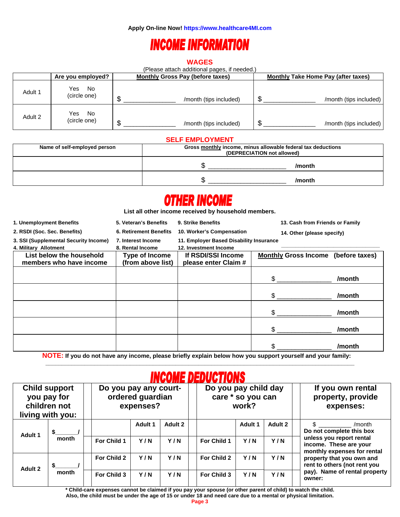### **INCOME INFORMATION**

#### **WAGES**

(Please attach additional pages, if needed.)

|         | Are you employed?          |   | <b>Monthly Gross Pay (before taxes)</b> | <b>Monthly Take Home Pay (after taxes)</b> |                        |  |  |
|---------|----------------------------|---|-----------------------------------------|--------------------------------------------|------------------------|--|--|
| Adult 1 | Yes<br>No<br>(circle one)  |   | /month (tips included)                  | ന                                          | /month (tips included) |  |  |
| Adult 2 | No.<br>Yes<br>(circle one) | ጥ | /month (tips included)                  | ጥ                                          | /month (tips included) |  |  |

#### **SELF EMPLOYMENT**

| Name of self-employed person | Gross monthly income, minus allowable federal tax deductions<br>(DEPRECIATION not allowed) |        |  |  |  |
|------------------------------|--------------------------------------------------------------------------------------------|--------|--|--|--|
|                              |                                                                                            | /month |  |  |  |
|                              |                                                                                            | /month |  |  |  |

## **OTHER INCOME**

**List all other income received by household members.** 

| 1. Unemployment Benefits                                       | 5. Veteran's Benefits                  | 9. Strike Benefits                                               | 13. Cash from Friends or Family     |        |
|----------------------------------------------------------------|----------------------------------------|------------------------------------------------------------------|-------------------------------------|--------|
| 2. RSDI (Soc. Sec. Benefits)                                   | <b>6. Retirement Benefits</b>          | 10. Worker's Compensation<br>14. Other (please specify)          |                                     |        |
| 3. SSI (Supplemental Security Income)<br>4. Military Allotment | 7. Interest Income<br>8. Rental Income | 11. Employer Based Disability Insurance<br>12. Investment Income |                                     |        |
| List below the household<br>members who have income            | Type of Income<br>(from above list)    | If RSDI/SSI Income<br>please enter Claim #                       | Monthly Gross Income (before taxes) |        |
|                                                                |                                        |                                                                  | \$                                  | /month |
|                                                                |                                        |                                                                  | \$                                  | /month |
|                                                                |                                        |                                                                  | \$                                  | /month |
|                                                                |                                        |                                                                  | \$                                  | /month |
|                                                                |                                        |                                                                  | \$                                  | /month |

**NOTE: If you do not have any income, please briefly explain below how you support yourself and your family:** 

 $\mathcal{L}_\mathcal{L} = \{ \mathcal{L}_\mathcal{L} = \{ \mathcal{L}_\mathcal{L} = \{ \mathcal{L}_\mathcal{L} = \{ \mathcal{L}_\mathcal{L} = \{ \mathcal{L}_\mathcal{L} = \{ \mathcal{L}_\mathcal{L} = \{ \mathcal{L}_\mathcal{L} = \{ \mathcal{L}_\mathcal{L} = \{ \mathcal{L}_\mathcal{L} = \{ \mathcal{L}_\mathcal{L} = \{ \mathcal{L}_\mathcal{L} = \{ \mathcal{L}_\mathcal{L} = \{ \mathcal{L}_\mathcal{L} = \{ \mathcal{L}_\mathcal{$ 

### **INCOME DEDUCTIONS**

|                                                                         |       |                    |                                                        | .           |             |                                                    |                                         |                                                                                   |
|-------------------------------------------------------------------------|-------|--------------------|--------------------------------------------------------|-------------|-------------|----------------------------------------------------|-----------------------------------------|-----------------------------------------------------------------------------------|
| <b>Child support</b><br>you pay for<br>children not<br>living with you: |       |                    | Do you pay any court-<br>ordered guardian<br>expenses? |             |             | Do you pay child day<br>care * so you can<br>work? |                                         | If you own rental<br>property, provide<br>expenses:                               |
| Adult 1                                                                 |       |                    | Adult 1                                                | Adult 2     |             | Adult 1                                            | Adult 2                                 | /month<br>Do not complete this box                                                |
| month                                                                   |       | For Child 1        | Y/N                                                    | Y/N         | For Child 1 | Y/N                                                | Y/N                                     | unless you report rental<br>income. These are your<br>monthly expenses for rental |
| Adult 2                                                                 |       | For Child 2        | Y/N                                                    | Y/N         | For Child 2 | Y/N                                                | Y/N                                     | property that you own and<br>rent to others (not rent you                         |
|                                                                         | month | Y/N<br>For Child 3 | Y/N                                                    | For Child 3 | Y/N         | Y/N                                                | pay). Name of rental property<br>owner: |                                                                                   |

**\* Child-care expenses cannot be claimed if you pay your spouse (or other parent of child) to watch the child. Also, the child must be under the age of 15 or under 18 and need care due to a mental or physical limitation.**